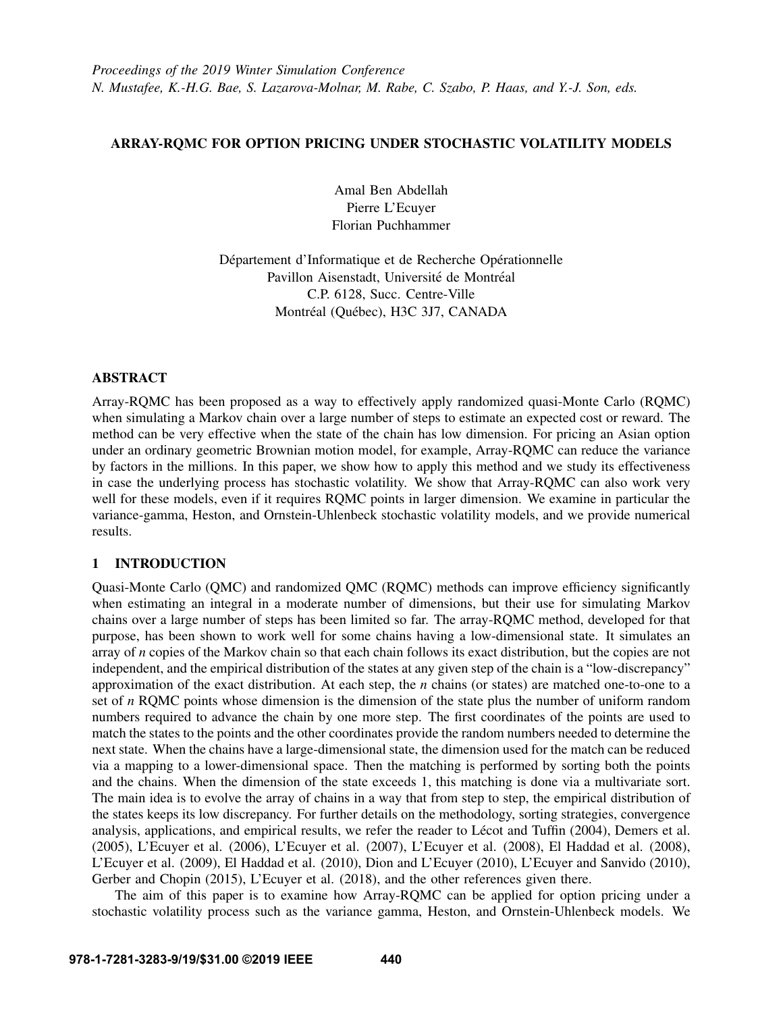# ARRAY-RQMC FOR OPTION PRICING UNDER STOCHASTIC VOLATILITY MODELS

Amal Ben Abdellah Pierre L'Ecuyer Florian Puchhammer

Département d'Informatique et de Recherche Opérationnelle Pavillon Aisenstadt, Université de Montréal C.P. 6128, Succ. Centre-Ville Montréal (Québec), H3C 3J7, CANADA

# ABSTRACT

Array-RQMC has been proposed as a way to effectively apply randomized quasi-Monte Carlo (RQMC) when simulating a Markov chain over a large number of steps to estimate an expected cost or reward. The method can be very effective when the state of the chain has low dimension. For pricing an Asian option under an ordinary geometric Brownian motion model, for example, Array-RQMC can reduce the variance by factors in the millions. In this paper, we show how to apply this method and we study its effectiveness in case the underlying process has stochastic volatility. We show that Array-RQMC can also work very well for these models, even if it requires RQMC points in larger dimension. We examine in particular the variance-gamma, Heston, and Ornstein-Uhlenbeck stochastic volatility models, and we provide numerical results.

# 1 INTRODUCTION

Quasi-Monte Carlo (QMC) and randomized QMC (RQMC) methods can improve efficiency significantly when estimating an integral in a moderate number of dimensions, but their use for simulating Markov chains over a large number of steps has been limited so far. The array-RQMC method, developed for that purpose, has been shown to work well for some chains having a low-dimensional state. It simulates an array of *n* copies of the Markov chain so that each chain follows its exact distribution, but the copies are not independent, and the empirical distribution of the states at any given step of the chain is a "low-discrepancy" approximation of the exact distribution. At each step, the *n* chains (or states) are matched one-to-one to a set of *n* RQMC points whose dimension is the dimension of the state plus the number of uniform random numbers required to advance the chain by one more step. The first coordinates of the points are used to match the states to the points and the other coordinates provide the random numbers needed to determine the next state. When the chains have a large-dimensional state, the dimension used for the match can be reduced via a mapping to a lower-dimensional space. Then the matching is performed by sorting both the points and the chains. When the dimension of the state exceeds 1, this matching is done via a multivariate sort. The main idea is to evolve the array of chains in a way that from step to step, the empirical distribution of the states keeps its low discrepancy. For further details on the methodology, sorting strategies, convergence analysis, applications, and empirical results, we refer the reader to Lécot and Tuffin (2004), [Demers et al.](#page-10-1) [\(2005\),](#page-10-1) [L'Ecuyer et al. \(2006\),](#page-10-2) [L'Ecuyer et al. \(2007\),](#page-10-3) [L'Ecuyer et al. \(2008\),](#page-10-4) [El Haddad et al. \(2008\),](#page-10-5) [L'Ecuyer et al. \(2009\),](#page-10-6) [El Haddad et al. \(2010\),](#page-10-7) [Dion and L'Ecuyer \(2010\),](#page-10-8) [L'Ecuyer and Sanvido \(2010\),](#page-10-9) [Gerber and Chopin \(2015\),](#page-10-10) [L'Ecuyer et al. \(2018\),](#page-10-11) and the other references given there.

The aim of this paper is to examine how Array-RQMC can be applied for option pricing under a stochastic volatility process such as the variance gamma, Heston, and Ornstein-Uhlenbeck models. We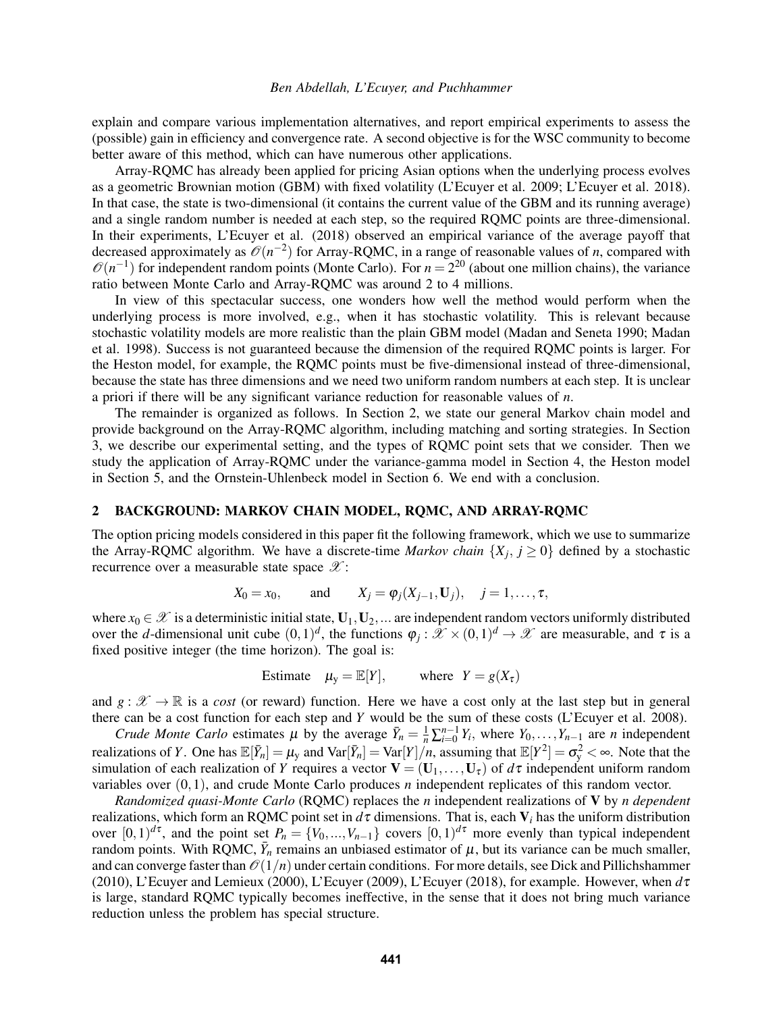### *Ben Abdellah, L'Ecuyer, and Puchhammer*

explain and compare various implementation alternatives, and report empirical experiments to assess the (possible) gain in efficiency and convergence rate. A second objective is for the WSC community to become better aware of this method, which can have numerous other applications.

Array-RQMC has already been applied for pricing Asian options when the underlying process evolves as a geometric Brownian motion (GBM) with fixed volatility [\(L'Ecuyer et al. 2009;](#page-10-6) [L'Ecuyer et al. 2018\)](#page-10-11). In that case, the state is two-dimensional (it contains the current value of the GBM and its running average) and a single random number is needed at each step, so the required RQMC points are three-dimensional. In their experiments, [L'Ecuyer et al. \(2018\)](#page-10-11) observed an empirical variance of the average payoff that decreased approximately as  $\mathcal{O}(n^{-2})$  for Array-RQMC, in a range of reasonable values of *n*, compared with  $\mathcal{O}(n^{-1})$  for independent random points (Monte Carlo). For  $n = 2^{20}$  (about one million chains), the variance ratio between Monte Carlo and Array-RQMC was around 2 to 4 millions.

In view of this spectacular success, one wonders how well the method would perform when the underlying process is more involved, e.g., when it has stochastic volatility. This is relevant because stochastic volatility models are more realistic than the plain GBM model [\(Madan and Seneta 1990;](#page-11-0) [Madan](#page-11-1) [et al. 1998\)](#page-11-1). Success is not guaranteed because the dimension of the required RQMC points is larger. For the Heston model, for example, the RQMC points must be five-dimensional instead of three-dimensional, because the state has three dimensions and we need two uniform random numbers at each step. It is unclear a priori if there will be any significant variance reduction for reasonable values of *n*.

The remainder is organized as follows. In Section [2,](#page-1-0) we state our general Markov chain model and provide background on the Array-RQMC algorithm, including matching and sorting strategies. In Section [3,](#page-3-0) we describe our experimental setting, and the types of RQMC point sets that we consider. Then we study the application of Array-RQMC under the variance-gamma model in Section [4,](#page-4-0) the Heston model in Section [5,](#page-7-0) and the Ornstein-Uhlenbeck model in Section [6.](#page-9-0) We end with a conclusion.

## <span id="page-1-0"></span>2 BACKGROUND: MARKOV CHAIN MODEL, RQMC, AND ARRAY-RQMC

The option pricing models considered in this paper fit the following framework, which we use to summarize the Array-RQMC algorithm. We have a discrete-time *Markov chain*  $\{X_j, j \ge 0\}$  defined by a stochastic recurrence over a measurable state space  $\mathscr{X}$ :

$$
X_0 = x_0
$$
, and  $X_j = \varphi_j(X_{j-1}, \mathbf{U}_j)$ ,  $j = 1, ..., \tau$ ,

where  $x_0 \in \mathcal{X}$  is a deterministic initial state,  $U_1, U_2, ...$  are independent random vectors uniformly distributed over the *d*-dimensional unit cube  $(0,1)^d$ , the functions  $\varphi_j : \mathcal{X} \times (0,1)^d \to \mathcal{X}$  are measurable, and  $\tau$  is a fixed positive integer (the time horizon). The goal is:

Estimate 
$$
\mu_y = \mathbb{E}[Y]
$$
, where  $Y = g(X_\tau)$ 

and  $g : \mathcal{X} \to \mathbb{R}$  is a *cost* (or reward) function. Here we have a cost only at the last step but in general there can be a cost function for each step and *Y* would be the sum of these costs [\(L'Ecuyer et al. 2008\)](#page-10-4).

*Crude Monte Carlo* estimates  $\mu$  by the average  $\bar{Y}_n = \frac{1}{n} \sum_{i=0}^{n-1} Y_i$ , where  $Y_0, \ldots, Y_{n-1}$  are *n* independent realizations of *Y*. One has  $\mathbb{E}[\bar{Y}_n] = \mu_Y$  and  $\text{Var}[\bar{Y}_n] = \text{Var}[Y]/n$ , assuming that  $\mathbb{E}[Y^2] = \sigma_Y^2 < \infty$ . Note that the simulation of each realization of *Y* requires a vector  $V = (U_1, \ldots, U_{\tau})$  of  $d\tau$  independent uniform random variables over (0,1), and crude Monte Carlo produces *n* independent replicates of this random vector.

*Randomized quasi-Monte Carlo* (RQMC) replaces the *n* independent realizations of V by *n dependent* realizations, which form an RQMC point set in *d*τ dimensions. That is, each V*<sup>i</sup>* has the uniform distribution over  $[0,1)^{d\tau}$ , and the point set  $P_n = \{V_0, ..., V_{n-1}\}\)$  covers  $[0,1)^{d\tau}$  more evenly than typical independent random points. With RQMC,  $\bar{Y}_n$  remains an unbiased estimator of  $\mu$ , but its variance can be much smaller, and can converge faster than  $\mathcal{O}(1/n)$  under certain conditions. For more details, see [Dick and Pillichshammer](#page-10-12) [\(2010\),](#page-10-12) [L'Ecuyer and Lemieux \(2000\),](#page-10-13) [L'Ecuyer \(2009\),](#page-10-14) [L'Ecuyer \(2018\),](#page-10-15) for example. However, when *d*τ is large, standard RQMC typically becomes ineffective, in the sense that it does not bring much variance reduction unless the problem has special structure.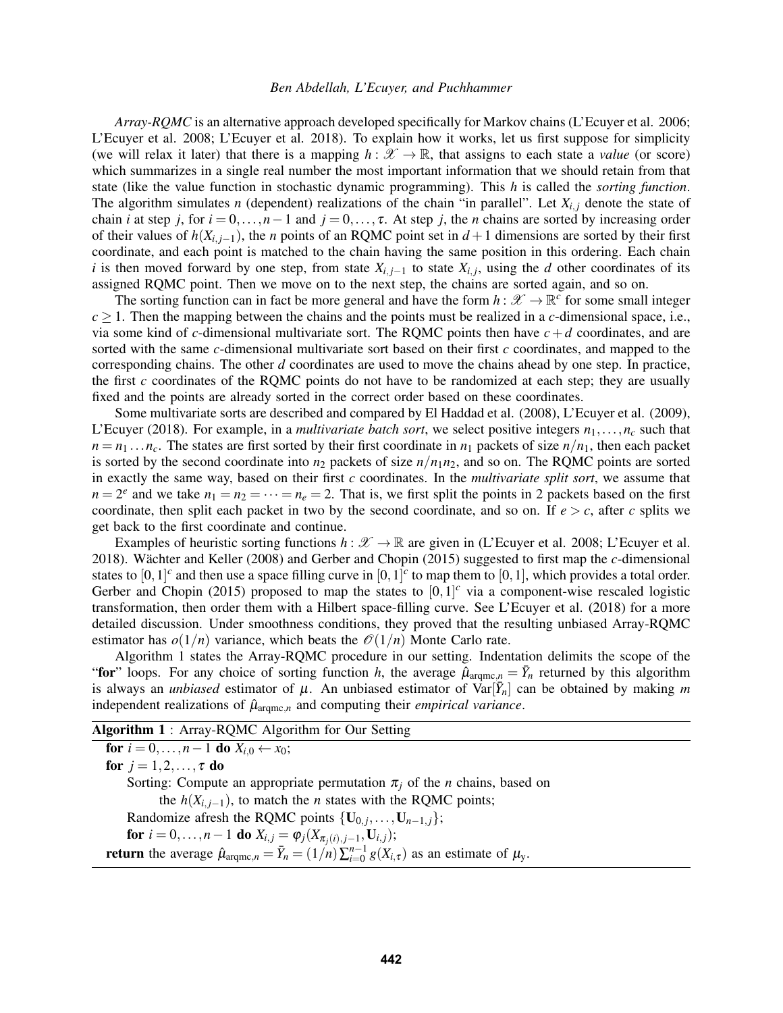### *Ben Abdellah, L'Ecuyer, and Puchhammer*

*Array-RQMC* is an alternative approach developed specifically for Markov chains [\(L'Ecuyer et al. 2006;](#page-10-2) [L'Ecuyer et al. 2008;](#page-10-4) [L'Ecuyer et al. 2018\)](#page-10-11). To explain how it works, let us first suppose for simplicity (we will relax it later) that there is a mapping  $h : \mathcal{X} \to \mathbb{R}$ , that assigns to each state a *value* (or score) which summarizes in a single real number the most important information that we should retain from that state (like the value function in stochastic dynamic programming). This *h* is called the *sorting function*. The algorithm simulates *n* (dependent) realizations of the chain "in parallel". Let  $X_{i,j}$  denote the state of chain *i* at step *j*, for  $i = 0, ..., n-1$  and  $j = 0, ..., \tau$ . At step *j*, the *n* chains are sorted by increasing order of their values of  $h(X_{i,i-1})$ , the *n* points of an RQMC point set in  $d+1$  dimensions are sorted by their first coordinate, and each point is matched to the chain having the same position in this ordering. Each chain *i* is then moved forward by one step, from state  $X_{i,j-1}$  to state  $X_{i,j}$ , using the *d* other coordinates of its assigned RQMC point. Then we move on to the next step, the chains are sorted again, and so on.

The sorting function can in fact be more general and have the form  $h: \mathscr{X} \to \mathbb{R}^c$  for some small integer  $c \geq 1$ . Then the mapping between the chains and the points must be realized in a *c*-dimensional space, i.e., via some kind of *c*-dimensional multivariate sort. The RQMC points then have  $c + d$  coordinates, and are sorted with the same *c*-dimensional multivariate sort based on their first *c* coordinates, and mapped to the corresponding chains. The other *d* coordinates are used to move the chains ahead by one step. In practice, the first *c* coordinates of the RQMC points do not have to be randomized at each step; they are usually fixed and the points are already sorted in the correct order based on these coordinates.

Some multivariate sorts are described and compared by [El Haddad et al. \(2008\),](#page-10-5) [L'Ecuyer et al. \(2009\),](#page-10-6) [L'Ecuyer \(2018\).](#page-10-15) For example, in a *multivariate batch sort*, we select positive integers  $n_1, \ldots, n_c$  such that  $n = n_1 \dots n_c$ . The states are first sorted by their first coordinate in  $n_1$  packets of size  $n/n_1$ , then each packet is sorted by the second coordinate into  $n_2$  packets of size  $n/n_1n_2$ , and so on. The RQMC points are sorted in exactly the same way, based on their first *c* coordinates. In the *multivariate split sort*, we assume that  $n = 2^e$  and we take  $n_1 = n_2 = \cdots = n_e = 2$ . That is, we first split the points in 2 packets based on the first coordinate, then split each packet in two by the second coordinate, and so on. If  $e > c$ , after *c* splits we get back to the first coordinate and continue.

Examples of heuristic sorting functions  $h : \mathcal{X} \to \mathbb{R}$  are given in [\(L'Ecuyer et al. 2008;](#page-10-4) [L'Ecuyer et al.](#page-10-11) [2018\)](#page-10-11). Wächter and Keller (2008) and [Gerber and Chopin \(2015\)](#page-10-10) suggested to first map the *c*-dimensional states to  $[0,1]^c$  and then use a space filling curve in  $[0,1]^c$  to map them to  $[0,1]$ , which provides a total order. [Gerber and Chopin \(2015\)](#page-10-10) proposed to map the states to  $[0,1]^{c}$  via a component-wise rescaled logistic transformation, then order them with a Hilbert space-filling curve. See [L'Ecuyer et al. \(2018\)](#page-10-11) for a more detailed discussion. Under smoothness conditions, they proved that the resulting unbiased Array-RQMC estimator has  $o(1/n)$  variance, which beats the  $O(1/n)$  Monte Carlo rate.

Algorithm [1](#page-2-0) states the Array-RQMC procedure in our setting. Indentation delimits the scope of the "for" loops. For any choice of sorting function *h*, the average  $\hat{\mu}_{\text{argmc},n} = \bar{Y}_n$  returned by this algorithm is always an *unbiased* estimator of  $\mu$ . An unbiased estimator of  $\text{Var}[\bar{Y}_n]$  can be obtained by making m independent realizations of  $\hat{\mu}_{\text{argmc},n}$  and computing their *empirical variance*.

<span id="page-2-0"></span>

| <b>Algorithm 1:</b> Array-RQMC Algorithm for Our Setting                                                                                            |  |
|-----------------------------------------------------------------------------------------------------------------------------------------------------|--|
| for $i = 0, , n-1$ do $X_{i,0} \leftarrow x_0$ ;                                                                                                    |  |
| for $j = 1, 2, \ldots, \tau$ do                                                                                                                     |  |
| Sorting: Compute an appropriate permutation $\pi_i$ of the <i>n</i> chains, based on                                                                |  |
| the $h(X_{i,i-1})$ , to match the <i>n</i> states with the RQMC points;                                                                             |  |
| Randomize afresh the RQMC points $\{U_{0,i},,U_{n-1,i}\};$                                                                                          |  |
| <b>for</b> $i = 0, , n - 1$ <b>do</b> $X_{i,j} = \varphi_j(X_{\pi_i(i),j-1}, \mathbf{U}_{i,j});$                                                    |  |
| <b>return</b> the average $\hat{\mu}_{\text{arame},n} = \overline{Y}_n = (1/n) \sum_{i=0}^{n-1} g(X_{i,\tau})$ as an estimate of $\mu_{\text{v}}$ . |  |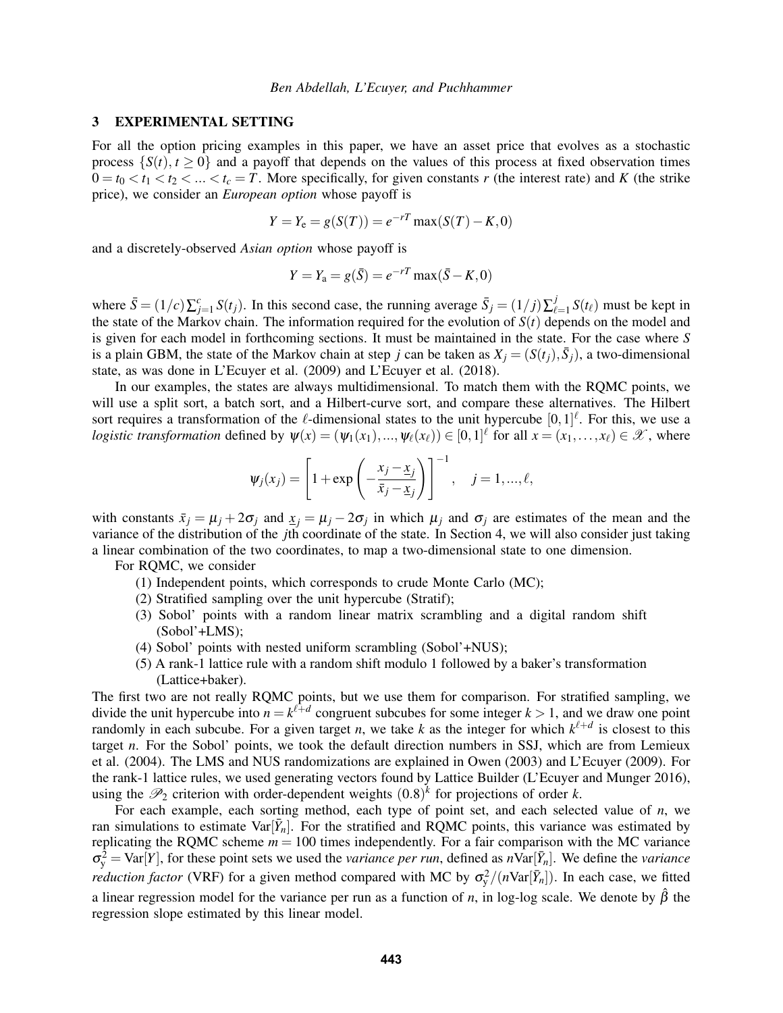## <span id="page-3-0"></span>3 EXPERIMENTAL SETTING

For all the option pricing examples in this paper, we have an asset price that evolves as a stochastic process  $\{S(t), t \geq 0\}$  and a payoff that depends on the values of this process at fixed observation times  $0 = t_0 < t_1 < t_2 < ... < t_c = T$ . More specifically, for given constants r (the interest rate) and K (the strike price), we consider an *European option* whose payoff is

$$
Y = Y_e = g(S(T)) = e^{-rT} \max(S(T) - K, 0)
$$

and a discretely-observed *Asian option* whose payoff is

$$
Y = Y_a = g(\bar{S}) = e^{-rT} \max(\bar{S} - K, 0)
$$

where  $\bar{S} = (1/c)\sum_{j=1}^{c} S(t_j)$ . In this second case, the running average  $\bar{S}_j = (1/j)\sum_{\ell=1}^{j} S(t_j)$  $\int_{\ell=1}^{J} S(t_{\ell})$  must be kept in the state of the Markov chain. The information required for the evolution of  $S(t)$  depends on the model and is given for each model in forthcoming sections. It must be maintained in the state. For the case where *S* is a plain GBM, the state of the Markov chain at step *j* can be taken as  $X_j = (S(t_j), \bar{S}_j)$ , a two-dimensional state, as was done in [L'Ecuyer et al. \(2009\)](#page-10-6) and [L'Ecuyer et al. \(2018\).](#page-10-11)

In our examples, the states are always multidimensional. To match them with the RQMC points, we will use a split sort, a batch sort, and a Hilbert-curve sort, and compare these alternatives. The Hilbert sort requires a transformation of the  $\ell$ -dimensional states to the unit hypercube  $[0,1]^{\ell}$ . For this, we use a *logistic transformation* defined by  $\psi(x) = (\psi_1(x_1), ..., \psi_\ell(x_\ell)) \in [0,1]^\ell$  for all  $x = (x_1, ..., x_\ell) \in \mathcal{X}$ , where

$$
\psi_j(x_j) = \left[1 + \exp\left(-\frac{x_j - x_j}{\bar{x}_j - \underline{x}_j}\right)\right]^{-1}, \quad j = 1, ..., \ell,
$$

with constants  $\bar{x}_j = \mu_j + 2\sigma_j$  and  $\underline{x}_j = \mu_j - 2\sigma_j$  in which  $\mu_j$  and  $\sigma_j$  are estimates of the mean and the variance of the distribution of the *j*th coordinate of the state. In Section [4,](#page-4-0) we will also consider just taking a linear combination of the two coordinates, to map a two-dimensional state to one dimension.

For RQMC, we consider

- (1) Independent points, which corresponds to crude Monte Carlo (MC);
- (2) Stratified sampling over the unit hypercube (Stratif);
- (3) Sobol' points with a random linear matrix scrambling and a digital random shift (Sobol'+LMS);
- (4) Sobol' points with nested uniform scrambling (Sobol'+NUS);
- (5) A rank-1 lattice rule with a random shift modulo 1 followed by a baker's transformation (Lattice+baker).

The first two are not really RQMC points, but we use them for comparison. For stratified sampling, we divide the unit hypercube into  $n = k^{\ell+d}$  congruent subcubes for some integer  $k > 1$ , and we draw one point randomly in each subcube. For a given target *n*, we take *k* as the integer for which  $k^{\ell+d}$  is closest to this target *n*. For the Sobol' points, we took the default direction numbers in SSJ, which are from [Lemieux](#page-11-3) [et al. \(2004\).](#page-11-3) The LMS and NUS randomizations are explained in [Owen \(2003\)](#page-11-4) and [L'Ecuyer \(2009\).](#page-10-14) For the rank-1 lattice rules, we used generating vectors found by Lattice Builder [\(L'Ecuyer and Munger 2016\)](#page-10-16), using the  $\mathcal{P}_2$  criterion with order-dependent weights  $(0.8)^k$  for projections of order *k*.

For each example, each sorting method, each type of point set, and each selected value of *n*, we ran simulations to estimate  $Var[\bar{Y}_n]$ . For the stratified and RQMC points, this variance was estimated by replicating the RQMC scheme  $m = 100$  times independently. For a fair comparison with the MC variance  $\sigma_y^2 = \text{Var}[Y]$ , for these point sets we used the *variance per run*, defined as  $n\text{Var}[\bar{Y}_n]$ . We define the *variance reduction factor* (VRF) for a given method compared with MC by  $\sigma_y^2/(n\text{Var}[\bar{Y}_n])$ . In each case, we fitted

a linear regression model for the variance per run as a function of *n*, in log-log scale. We denote by  $\hat{\beta}$  the regression slope estimated by this linear model.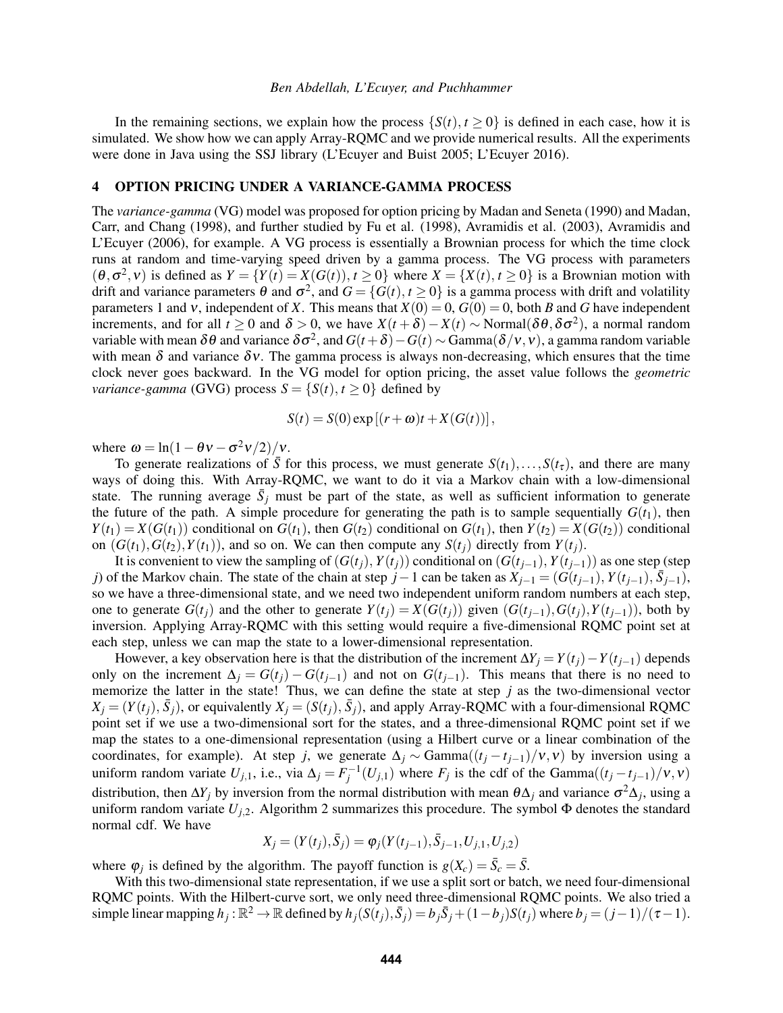#### *Ben Abdellah, L'Ecuyer, and Puchhammer*

In the remaining sections, we explain how the process  $\{S(t), t \ge 0\}$  is defined in each case, how it is simulated. We show how we can apply Array-RQMC and we provide numerical results. All the experiments were done in Java using the SSJ library [\(L'Ecuyer and Buist 2005;](#page-10-17) [L'Ecuyer 2016\)](#page-10-18).

# <span id="page-4-0"></span>4 OPTION PRICING UNDER A VARIANCE-GAMMA PROCESS

The *variance-gamma* (VG) model was proposed for option pricing by [Madan and Seneta \(1990\)](#page-11-0) and [Madan,](#page-11-1) [Carr, and Chang \(1998\),](#page-11-1) and further studied by [Fu et al. \(1998\),](#page-10-19) [Avramidis et al. \(2003\),](#page-10-20) [Avramidis and](#page-10-21) [L'Ecuyer \(2006\),](#page-10-21) for example. A VG process is essentially a Brownian process for which the time clock runs at random and time-varying speed driven by a gamma process. The VG process with parameters  $(\theta, \sigma^2, v)$  is defined as  $Y = \{Y(t) = X(G(t)), t \ge 0\}$  where  $X = \{X(t), t \ge 0\}$  is a Brownian motion with drift and variance parameters  $\theta$  and  $\sigma^2$ , and  $G = \{G(t), t \ge 0\}$  is a gamma process with drift and volatility parameters 1 and *v*, independent of *X*. This means that  $X(0) = 0$ ,  $G(0) = 0$ , both *B* and *G* have independent increments, and for all  $t \ge 0$  and  $\delta > 0$ , we have  $X(t + \delta) - X(t) \sim \text{Normal}(\delta \theta, \delta \sigma^2)$ , a normal random variable with mean  $\delta\theta$  and variance  $\delta\sigma^2$ , and  $G(t+\delta)-G(t) \sim \text{Gamma}(\delta/v,v)$ , a gamma random variable with mean  $\delta$  and variance  $\delta v$ . The gamma process is always non-decreasing, which ensures that the time clock never goes backward. In the VG model for option pricing, the asset value follows the *geometric variance-gamma* (GVG) process  $S = \{S(t), t \ge 0\}$  defined by

$$
S(t) = S(0) \exp [(r + \omega)t + X(G(t))],
$$

where  $\omega = \ln(1 - \theta v - \sigma^2 v/2)/v$ .

To generate realizations of  $\bar{S}$  for this process, we must generate  $S(t_1),...,S(t_{\tau})$ , and there are many ways of doing this. With Array-RQMC, we want to do it via a Markov chain with a low-dimensional state. The running average  $\bar{S}_j$  must be part of the state, as well as sufficient information to generate the future of the path. A simple procedure for generating the path is to sample sequentially  $G(t_1)$ , then  $Y(t_1) = X(G(t_1))$  conditional on  $G(t_1)$ , then  $G(t_2)$  conditional on  $G(t_1)$ , then  $Y(t_2) = X(G(t_2))$  conditional on  $(G(t_1), G(t_2), Y(t_1))$ , and so on. We can then compute any  $S(t_i)$  directly from  $Y(t_i)$ .

It is convenient to view the sampling of  $(G(t_i), Y(t_i))$  conditional on  $(G(t_{i-1}), Y(t_{i-1}))$  as one step (step *j*) of the Markov chain. The state of the chain at step *j* − 1 can be taken as  $X_{j-1} = (G(t_{j-1}), Y(t_{j-1}), \overline{S}_{j-1})$ , so we have a three-dimensional state, and we need two independent uniform random numbers at each step, one to generate  $G(t_i)$  and the other to generate  $Y(t_i) = X(G(t_i))$  given  $(G(t_{i-1}), G(t_i), Y(t_{i-1}))$ , both by inversion. Applying Array-RQMC with this setting would require a five-dimensional RQMC point set at each step, unless we can map the state to a lower-dimensional representation.

However, a key observation here is that the distribution of the increment  $\Delta Y_j = Y(t_j) - Y(t_{j-1})$  depends only on the increment  $\Delta_i = G(t_i) - G(t_{i-1})$  and not on  $G(t_{i-1})$ . This means that there is no need to memorize the latter in the state! Thus, we can define the state at step *j* as the two-dimensional vector  $X_j = (Y(t_j), \bar{S}_j)$ , or equivalently  $X_j = (S(t_j), \bar{S}_j)$ , and apply Array-RQMC with a four-dimensional RQMC point set if we use a two-dimensional sort for the states, and a three-dimensional RQMC point set if we map the states to a one-dimensional representation (using a Hilbert curve or a linear combination of the coordinates, for example). At step *j*, we generate  $\Delta_i \sim \text{Gamma}((t_i - t_{i-1})/v, v)$  by inversion using a uniform random variate  $U_{j,1}$ , i.e., via  $\Delta_j = F_j^{-1}(U_{j,1})$  where  $F_j$  is the cdf of the Gamma $((t_j - t_{j-1})/v, v)$ distribution, then  $\Delta Y_j$  by inversion from the normal distribution with mean  $\theta \Delta_j$  and variance  $\sigma^2 \Delta_j$ , using a uniform random variate  $U_{j,2}$  $U_{j,2}$  $U_{j,2}$ . Algorithm 2 summarizes this procedure. The symbol  $\Phi$  denotes the standard normal cdf. We have

$$
X_j = (Y(t_j), \bar{S}_j) = \varphi_j(Y(t_{j-1}), \bar{S}_{j-1}, U_{j,1}, U_{j,2})
$$

where  $\varphi_j$  is defined by the algorithm. The payoff function is  $g(X_c) = \overline{S}_c = \overline{S}$ .

With this two-dimensional state representation, if we use a split sort or batch, we need four-dimensional RQMC points. With the Hilbert-curve sort, we only need three-dimensional RQMC points. We also tried a simple linear mapping  $h_j : \mathbb{R}^2 \to \mathbb{R}$  defined by  $h_j(S(t_j), \bar{S}_j) = b_j \bar{S}_j + (1 - b_j)S(t_j)$  where  $b_j = (j - 1)/(\tau - 1)$ .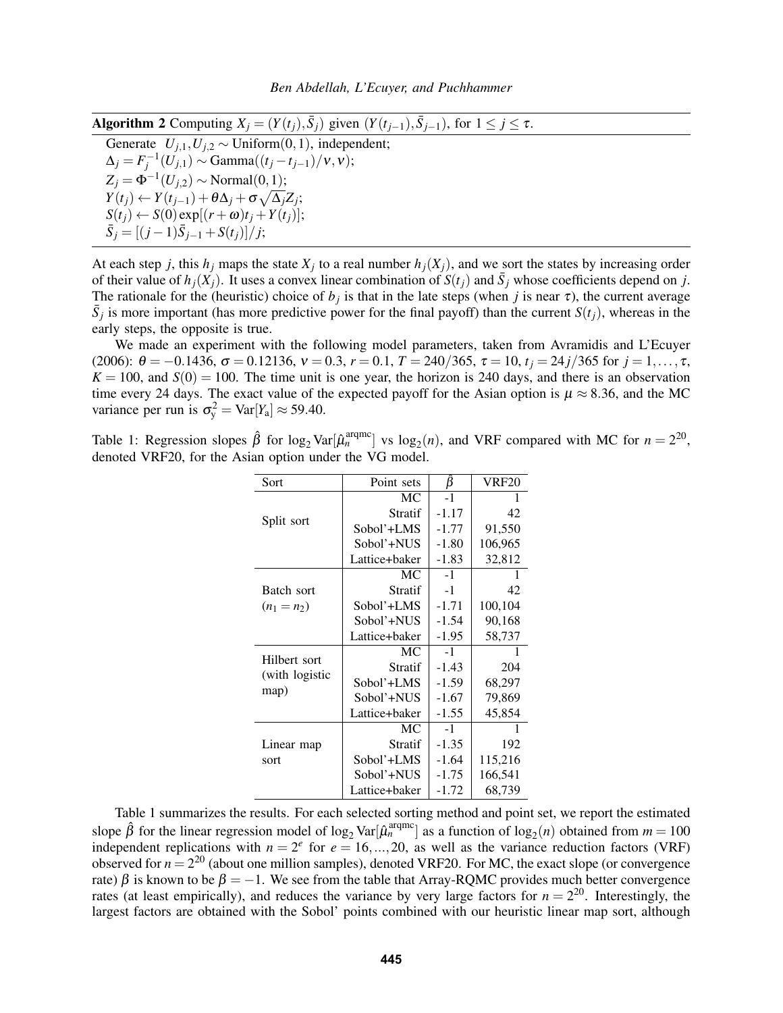<span id="page-5-0"></span>Algorithm 2 Computing  $X_j = (Y(t_j), \bar{S}_j)$  given  $(Y(t_{j-1}), \bar{S}_{j-1})$ , for  $1 \le j \le \tau$ .

Generate  $U_{j,1}, U_{j,2} \sim \text{Uniform}(0,1)$ , independent;  $\Delta_j = F_j^{-1}(U_{j,1}) \sim \text{Gamma}((t_j - t_{j-1})/v, v);$  $Z_j = \Phi^{-1}(U_{j,2}) \sim \text{Normal}(0,1);$  $Y(t_j) \leftarrow Y(t_{j-1}) + \theta \Delta_j + \sigma \sqrt{\Delta_j} Z_j;$  $S(t_i) \leftarrow S(0) \exp[(r + \omega)t_i + Y(t_i)];$  $\bar{S}_j = \frac{[(j-1)\bar{S}_{j-1} + S(t_j)]}{j}$ ;

At each step *j*, this  $h_j$  maps the state  $X_j$  to a real number  $h_j(X_j)$ , and we sort the states by increasing order of their value of  $h_j(X_j)$ . It uses a convex linear combination of  $S(t_j)$  and  $\bar{S}_j$  whose coefficients depend on *j*. The rationale for the (heuristic) choice of  $b_j$  is that in the late steps (when *j* is near  $\tau$ ), the current average  $\bar{S}_j$  is more important (has more predictive power for the final payoff) than the current  $S(t_j)$ , whereas in the early steps, the opposite is true.

We made an experiment with the following model parameters, taken from [Avramidis and L'Ecuyer](#page-10-21) [\(2006\):](#page-10-21)  $\theta = -0.1436$ ,  $\sigma = 0.12136$ ,  $v = 0.3$ ,  $r = 0.1$ ,  $T = 240/365$ ,  $\tau = 10$ ,  $t_i = 24j/365$  for  $j = 1, ..., \tau$ ,  $K = 100$ , and  $S(0) = 100$ . The time unit is one year, the horizon is 240 days, and there is an observation time every 24 days. The exact value of the expected payoff for the Asian option is  $\mu \approx 8.36$ , and the MC variance per run is  $\sigma_y^2 = \text{Var}[Y_a] \approx 59.40$ .

<span id="page-5-1"></span>Table 1: Regression slopes  $\hat{\beta}$  for log<sub>2</sub> Var[ $\hat{\mu}_n^{\text{argmc}}$ ] vs log<sub>2</sub>(*n*), and VRF compared with MC for  $n = 2^{20}$ , denoted VRF20, for the Asian option under the VG model.

| Sort                                   | Point sets    | β       | <b>VRF20</b> |
|----------------------------------------|---------------|---------|--------------|
| Split sort                             | MC            | $-1$    | 1            |
|                                        | Stratif       | $-1.17$ | 42           |
|                                        | Sobol'+LMS    | $-1.77$ | 91,550       |
|                                        | Sobol'+NUS    | $-1.80$ | 106,965      |
|                                        | Lattice+baker | $-1.83$ | 32,812       |
|                                        | МC            | $-1$    | 1            |
| Batch sort                             | Stratif       | $-1$    | 42           |
| $(n_1 = n_2)$                          | Sobol'+LMS    | $-1.71$ | 100,104      |
|                                        | Sobol'+NUS    | $-1.54$ | 90,168       |
|                                        | Lattice+baker | $-1.95$ | 58,737       |
| Hilbert sort<br>(with logistic<br>map) | МC            | $-1$    |              |
|                                        | Stratif       | $-1.43$ | 204          |
|                                        | Sobol'+LMS    | $-1.59$ | 68,297       |
|                                        | Sobol'+NUS    | $-1.67$ | 79,869       |
|                                        | Lattice+baker | $-1.55$ | 45,854       |
|                                        | MC            | $-1$    | 1            |
| Linear map                             | Stratif       | $-1.35$ | 192          |
| sort                                   | Sobol'+LMS    | $-1.64$ | 115,216      |
|                                        | Sobol'+NUS    | $-1.75$ | 166,541      |
|                                        | Lattice+baker | $-1.72$ | 68,739       |

Table [1](#page-5-1) summarizes the results. For each selected sorting method and point set, we report the estimated slope  $\hat{\beta}$  for the linear regression model of log<sub>2</sub> Var $[\hat{\mu}_n^{\text{argmc}}]$  as a function of log<sub>2</sub>(*n*) obtained from  $m = 100$ independent replications with  $n = 2^e$  for  $e = 16, ..., 20$ , as well as the variance reduction factors (VRF) observed for  $n = 2^{20}$  (about one million samples), denoted VRF20. For MC, the exact slope (or convergence rate)  $\beta$  is known to be  $\beta = -1$ . We see from the table that Array-RQMC provides much better convergence rates (at least empirically), and reduces the variance by very large factors for  $n = 2^{20}$ . Interestingly, the largest factors are obtained with the Sobol' points combined with our heuristic linear map sort, although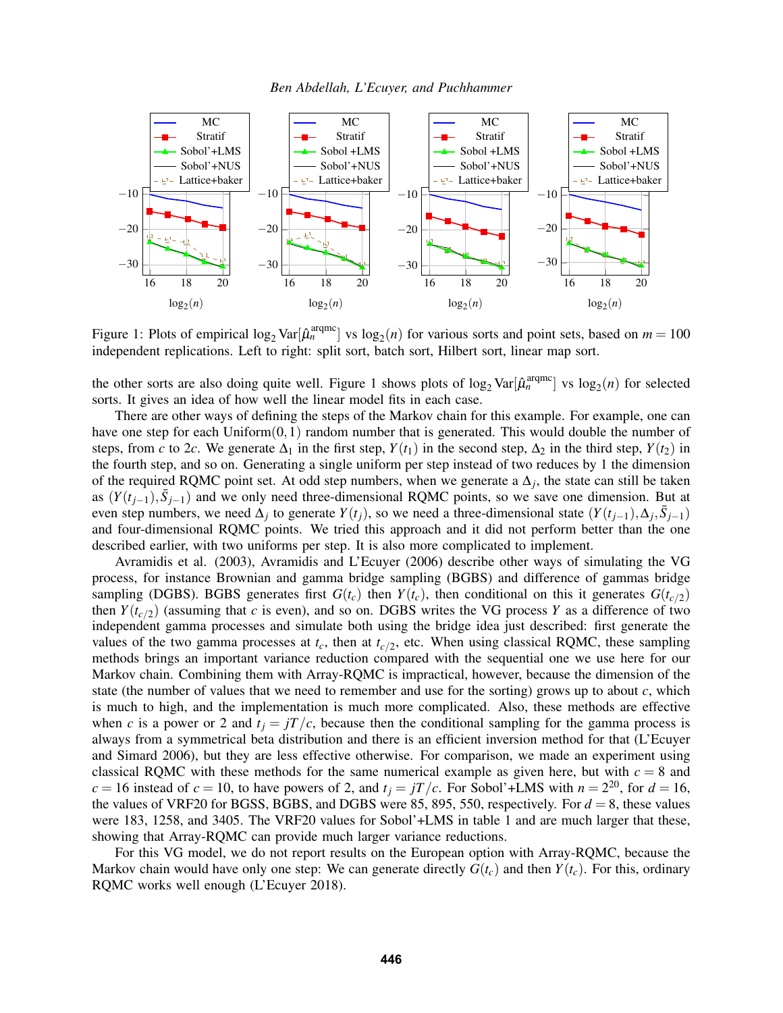*Ben Abdellah, L'Ecuyer, and Puchhammer*



<span id="page-6-0"></span>Figure 1: Plots of empirical  $\log_2 \text{Var}[\hat{\mu}_n^{\text{argmc}}]$  vs  $\log_2(n)$  for various sorts and point sets, based on  $m = 100$ independent replications. Left to right: split sort, batch sort, Hilbert sort, linear map sort.

the other sorts are also doing quite well. Figure [1](#page-6-0) shows plots of  $log_2 \text{Var}[\hat{\mu}_n^{\text{argmc}}]$  vs  $log_2(n)$  for selected sorts. It gives an idea of how well the linear model fits in each case.

There are other ways of defining the steps of the Markov chain for this example. For example, one can have one step for each Uniform $(0,1)$  random number that is generated. This would double the number of steps, from *c* to 2*c*. We generate  $\Delta_1$  in the first step,  $Y(t_1)$  in the second step,  $\Delta_2$  in the third step,  $Y(t_2)$  in the fourth step, and so on. Generating a single uniform per step instead of two reduces by 1 the dimension of the required RQMC point set. At odd step numbers, when we generate a  $\Delta_j$ , the state can still be taken as  $(Y(t_{j-1}), \bar{S}_{j-1})$  and we only need three-dimensional RQMC points, so we save one dimension. But at even step numbers, we need  $\Delta_j$  to generate  $Y(t_j)$ , so we need a three-dimensional state  $(Y(t_{j-1}), \Delta_j, \bar{S}_{j-1})$ and four-dimensional RQMC points. We tried this approach and it did not perform better than the one described earlier, with two uniforms per step. It is also more complicated to implement.

[Avramidis et al. \(2003\),](#page-10-20) [Avramidis and L'Ecuyer \(2006\)](#page-10-21) describe other ways of simulating the VG process, for instance Brownian and gamma bridge sampling (BGBS) and difference of gammas bridge sampling (DGBS). BGBS generates first  $G(t_c)$  then  $Y(t_c)$ , then conditional on this it generates  $G(t_c/2)$ then  $Y(t_{c/2})$  (assuming that *c* is even), and so on. DGBS writes the VG process *Y* as a difference of two independent gamma processes and simulate both using the bridge idea just described: first generate the values of the two gamma processes at  $t_c$ , then at  $t_c/2$ , etc. When using classical RQMC, these sampling methods brings an important variance reduction compared with the sequential one we use here for our Markov chain. Combining them with Array-RQMC is impractical, however, because the dimension of the state (the number of values that we need to remember and use for the sorting) grows up to about  $c$ , which is much to high, and the implementation is much more complicated. Also, these methods are effective when *c* is a power or 2 and  $t_j = jT/c$ , because then the conditional sampling for the gamma process is always from a symmetrical beta distribution and there is an efficient inversion method for that [\(L'Ecuyer](#page-10-22) [and Simard 2006\)](#page-10-22), but they are less effective otherwise. For comparison, we made an experiment using classical RQMC with these methods for the same numerical example as given here, but with  $c = 8$  and  $c = 16$  instead of  $c = 10$ , to have powers of 2, and  $t_j = jT/c$ . For Sobol'+LMS with  $n = 2^{20}$ , for  $d = 16$ , the values of VRF20 for BGSS, BGBS, and DGBS were 85, 895, 550, respectively. For  $d = 8$ , these values were 183, 1258, and 3405. The VRF20 values for Sobol'+LMS in table 1 and are much larger that these, showing that Array-RQMC can provide much larger variance reductions.

For this VG model, we do not report results on the European option with Array-RQMC, because the Markov chain would have only one step: We can generate directly  $G(t_c)$  and then  $Y(t_c)$ . For this, ordinary RQMC works well enough [\(L'Ecuyer 2018\)](#page-10-15).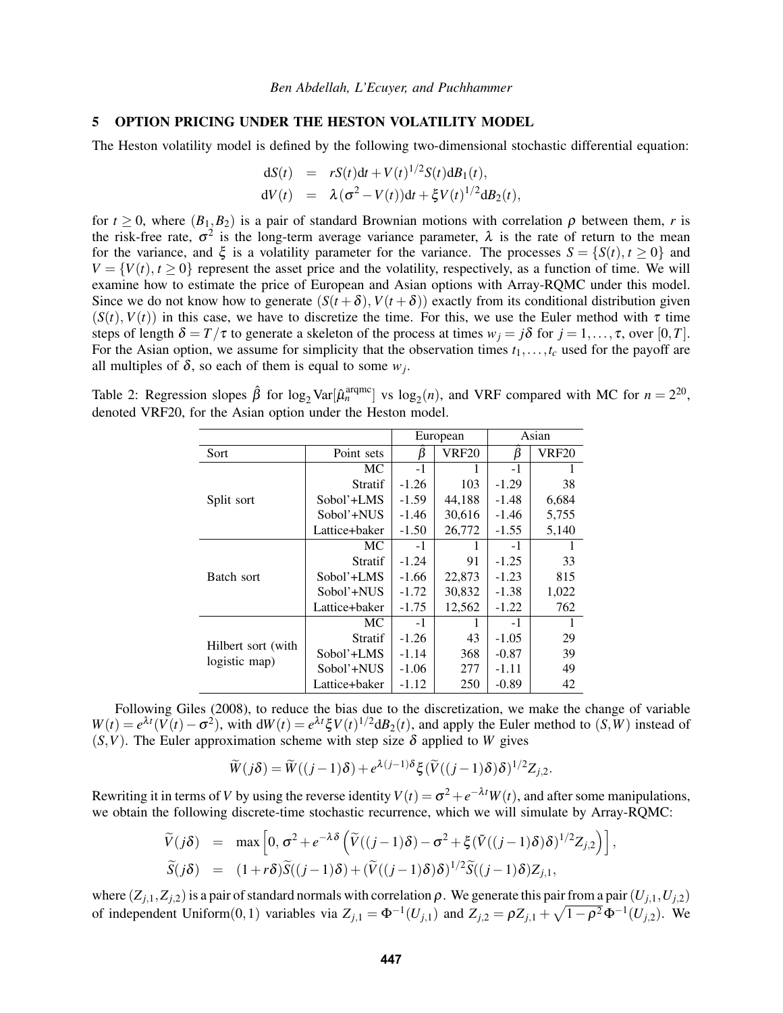### <span id="page-7-0"></span>5 OPTION PRICING UNDER THE HESTON VOLATILITY MODEL

The Heston volatility model is defined by the following two-dimensional stochastic differential equation:

$$
dS(t) = rS(t)dt + V(t)^{1/2}S(t)dB_1(t),
$$
  
\n
$$
dV(t) = \lambda(\sigma^2 - V(t))dt + \xi V(t)^{1/2}dB_2(t),
$$

for  $t \geq 0$ , where  $(B_1, B_2)$  is a pair of standard Brownian motions with correlation  $\rho$  between them, *r* is the risk-free rate,  $\sigma^2$  is the long-term average variance parameter,  $\lambda$  is the rate of return to the mean for the variance, and  $\xi$  is a volatility parameter for the variance. The processes  $S = \{S(t), t \ge 0\}$  and  $V = \{V(t), t \ge 0\}$  represent the asset price and the volatility, respectively, as a function of time. We will examine how to estimate the price of European and Asian options with Array-RQMC under this model. Since we do not know how to generate  $(S(t + \delta), V(t + \delta))$  exactly from its conditional distribution given  $(S(t), V(t))$  in this case, we have to discretize the time. For this, we use the Euler method with  $\tau$  time steps of length  $\delta = T/\tau$  to generate a skeleton of the process at times  $w_i = j\delta$  for  $j = 1, ..., \tau$ , over [0,*T*]. For the Asian option, we assume for simplicity that the observation times  $t_1, \ldots, t_c$  used for the payoff are all multiples of  $\delta$ , so each of them is equal to some  $w_j$ .

<span id="page-7-1"></span>Table 2: Regression slopes  $\hat{\beta}$  for log<sub>2</sub> Var[ $\hat{\mu}_n^{\text{argmc}}$ ] vs log<sub>2</sub>(*n*), and VRF compared with MC for  $n = 2^{20}$ , denoted VRF20, for the Asian option under the Heston model.

|                                     |                | European |              | Asian   |       |
|-------------------------------------|----------------|----------|--------------|---------|-------|
| Sort                                | Point sets     | β        | <b>VRF20</b> | β       | VRF20 |
| Split sort                          | МC             | $-1$     |              | $-1$    |       |
|                                     | <b>Stratif</b> | $-1.26$  | 103          | $-1.29$ | 38    |
|                                     | Sobol'+LMS     | $-1.59$  | 44,188       | $-1.48$ | 6,684 |
|                                     | Sobol'+NUS     | -1.46    | 30,616       | $-1.46$ | 5,755 |
|                                     | Lattice+baker  | $-1.50$  | 26,772       | $-1.55$ | 5,140 |
| Batch sort                          | МC             | $-1$     |              | $-1$    |       |
|                                     | Stratif        | $-1.24$  | 91           | $-1.25$ | 33    |
|                                     | Sobol'+LMS     | $-1.66$  | 22,873       | $-1.23$ | 815   |
|                                     | Sobol'+NUS     | $-1.72$  | 30,832       | $-1.38$ | 1,022 |
|                                     | Lattice+baker  | $-1.75$  | 12,562       | $-1.22$ | 762   |
| Hilbert sort (with<br>logistic map) | МC             | $-1$     |              | $-1$    | 1     |
|                                     | Stratif        | $-1.26$  | 43           | $-1.05$ | 29    |
|                                     | Sobol'+LMS     | $-1.14$  | 368          | $-0.87$ | 39    |
|                                     | Sobol'+NUS     | $-1.06$  | 277          | -1.11   | 49    |
|                                     | Lattice+baker  | $-1.12$  | 250          | $-0.89$ | 42    |

Following [Giles \(2008\),](#page-10-23) to reduce the bias due to the discretization, we make the change of variable  $W(t) = e^{\lambda t} (V(t) - \sigma^2)$ , with  $dW(t) = e^{\lambda t} \xi V(t)^{1/2} dB_2(t)$ , and apply the Euler method to  $(S, W)$  instead of  $(S, V)$ . The Euler approximation scheme with step size  $\delta$  applied to *W* gives

$$
\widetilde{W}(j\delta) = \widetilde{W}((j-1)\delta) + e^{\lambda(j-1)\delta} \xi (\widetilde{V}((j-1)\delta)\delta)^{1/2} Z_{j,2}.
$$

Rewriting it in terms of *V* by using the reverse identity  $V(t) = \sigma^2 + e^{-\lambda t} W(t)$ , and after some manipulations, we obtain the following discrete-time stochastic recurrence, which we will simulate by Array-RQMC:

$$
\widetilde{V}(j\delta) = \max \left[0, \sigma^2 + e^{-\lambda \delta} \left( \widetilde{V}((j-1)\delta) - \sigma^2 + \xi (\widetilde{V}((j-1)\delta)\delta)^{1/2} Z_{j,2} \right) \right],
$$
  
\n
$$
\widetilde{S}(j\delta) = (1+r\delta) \widetilde{S}((j-1)\delta) + (\widetilde{V}((j-1)\delta)\delta)^{1/2} \widetilde{S}((j-1)\delta) Z_{j,1},
$$

where  $(Z_{j,1}, Z_{j,2})$  is a pair of standard normals with correlation  $\rho$ . We generate this pair from a pair  $(U_{j,1}, U_{j,2})$ of independent Uniform $(0,1)$  variables via  $Z_{j,1} = \Phi^{-1}(U_{j,1})$  and  $Z_{j,2} = \rho Z_{j,1} + \sqrt{1-\rho^2}\Phi^{-1}(U_{j,2})$ . We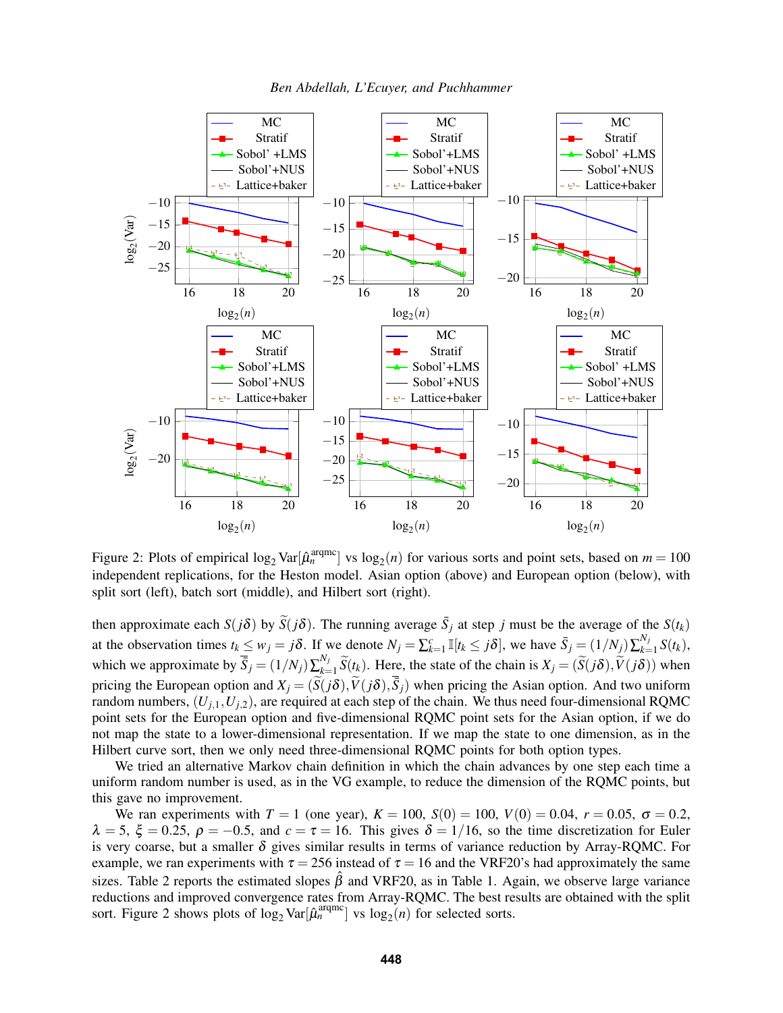



<span id="page-8-0"></span>Figure 2: Plots of empirical  $log_2 \text{Var}[\hat{\mu}_n^{\text{argmc}}]$  vs  $log_2(n)$  for various sorts and point sets, based on  $m = 100$ independent replications, for the Heston model. Asian option (above) and European option (below), with split sort (left), batch sort (middle), and Hilbert sort (right).

then approximate each *S*(*j*δ) by  $\widetilde{S}(j\delta)$ . The running average  $\overline{S}_j$  at step *j* must be the average of the *S*(*t<sub>k</sub>*) at the observation times  $t_k \le w_j = j\delta$ . If we denote  $N_j = \sum_{k=1}^c \mathbb{I}[t_k \le j\delta]$ , we have  $\bar{S}_j = (1/N_j) \sum_{k=1}^{N_j} \mathbb{I}[t_k \le j\delta]$  $\int_{k=1}^{N_j} S(t_k)$ , which we approximate by  $\overline{S}_j = (1/N_j) \sum_{k=1}^{N_j}$  $X_j = (S(j\delta), V(j\delta))$  when  $X_j = (S(j\delta), V(j\delta))$  when pricing the European option and  $X_j = (\tilde{S}(j\delta), \tilde{V}(j\delta), \overline{S}_j)$  when pricing the Asian option. And two uniform random numbers,  $(U_{i,1}, U_{i,2})$ , are required at each step of the chain. We thus need four-dimensional RQMC point sets for the European option and five-dimensional RQMC point sets for the Asian option, if we do not map the state to a lower-dimensional representation. If we map the state to one dimension, as in the Hilbert curve sort, then we only need three-dimensional RQMC points for both option types.

We tried an alternative Markov chain definition in which the chain advances by one step each time a uniform random number is used, as in the VG example, to reduce the dimension of the RQMC points, but this gave no improvement.

We ran experiments with *T* = 1 (one year), *K* = 100, *S*(0) = 100, *V*(0) = 0.04, *r* = 0.05, σ = 0.2,  $\lambda = 5$ ,  $\xi = 0.25$ ,  $\rho = -0.5$ , and  $c = \tau = 16$ . This gives  $\delta = 1/16$ , so the time discretization for Euler is very coarse, but a smaller  $\delta$  gives similar results in terms of variance reduction by Array-RQMC. For example, we ran experiments with  $\tau = 256$  instead of  $\tau = 16$  and the VRF20's had approximately the same sizes. Table [2](#page-7-1) reports the estimated slopes  $\hat{\beta}$  and VRF20, as in Table [1.](#page-5-1) Again, we observe large variance reductions and improved convergence rates from Array-RQMC. The best results are obtained with the split sort. Figure [2](#page-8-0) shows plots of  $\log_2 \text{Var}[\hat{\mu}_n^{\text{argmc}}]$  vs  $\log_2(n)$  for selected sorts.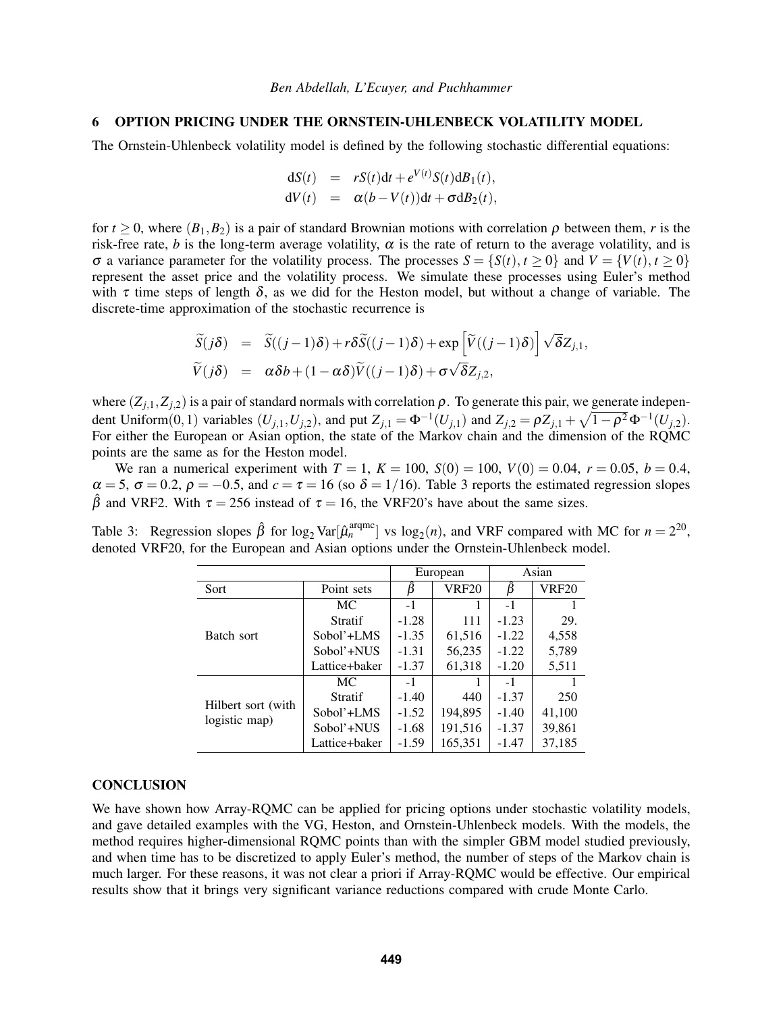## <span id="page-9-0"></span>6 OPTION PRICING UNDER THE ORNSTEIN-UHLENBECK VOLATILITY MODEL

The Ornstein-Uhlenbeck volatility model is defined by the following stochastic differential equations:

$$
dS(t) = rS(t)dt + e^{V(t)}S(t)dB_1(t),
$$
  
\n
$$
dV(t) = \alpha(b - V(t))dt + \sigma dB_2(t),
$$

for  $t > 0$ , where  $(B_1, B_2)$  is a pair of standard Brownian motions with correlation  $\rho$  between them, *r* is the risk-free rate, *b* is the long-term average volatility,  $\alpha$  is the rate of return to the average volatility, and is σ a variance parameter for the volatility process. The processes *S* = {*S*(*t*), *t* ≥ 0} and *V* = {*V*(*t*), *t* ≥ 0} represent the asset price and the volatility process. We simulate these processes using Euler's method with  $\tau$  time steps of length  $\delta$ , as we did for the Heston model, but without a change of variable. The discrete-time approximation of the stochastic recurrence is

$$
\widetilde{S}(j\delta) = \widetilde{S}((j-1)\delta) + r\delta \widetilde{S}((j-1)\delta) + \exp \left[\widetilde{V}((j-1)\delta)\right] \sqrt{\delta} Z_{j,1}, \n\widetilde{V}(j\delta) = \alpha \delta b + (1 - \alpha \delta) \widetilde{V}((j-1)\delta) + \sigma \sqrt{\delta} Z_{j,2},
$$

where  $(Z_{i,1}, Z_{i,2})$  is a pair of standard normals with correlation  $\rho$ . To generate this pair, we generate independent Uniform(0,1) variables  $(U_{j,1}, U_{j,2})$ , and put  $Z_{j,1} = \Phi^{-1}(U_{j,1})$  and  $Z_{j,2} = \rho Z_{j,1} + \sqrt{1-\rho^2} \Phi^{-1}(U_{j,2})$ . For either the European or Asian option, the state of the Markov chain and the dimension of the RQMC points are the same as for the Heston model.

We ran a numerical experiment with  $T = 1$ ,  $K = 100$ ,  $S(0) = 100$ ,  $V(0) = 0.04$ ,  $r = 0.05$ ,  $b = 0.4$ ,  $\alpha = 5$ ,  $\sigma = 0.2$ ,  $\rho = -0.5$ , and  $c = \tau = 16$  (so  $\delta = 1/16$ ). Table [3](#page-9-1) reports the estimated regression slopes  $\hat{\beta}$  and VRF2. With  $\tau = 256$  instead of  $\tau = 16$ , the VRF20's have about the same sizes.

<span id="page-9-1"></span>Table 3: Regression slopes  $\hat{\beta}$  for log<sub>2</sub> Var[ $\hat{\mu}_n^{\text{argmc}}$ ] vs log<sub>2</sub>(*n*), and VRF compared with MC for  $n = 2^{20}$ , denoted VRF20, for the European and Asian options under the Ornstein-Uhlenbeck model.

|                                     |                | European |              | Asian   |        |
|-------------------------------------|----------------|----------|--------------|---------|--------|
| Sort                                | Point sets     |          | <b>VRF20</b> | β       | VRF20  |
| Batch sort                          | МC             | $-1$     |              | $-1$    |        |
|                                     | <b>Stratif</b> | $-1.28$  | 111          | $-1.23$ | 29.    |
|                                     | Sobol'+LMS     | $-1.35$  | 61,516       | $-1.22$ | 4,558  |
|                                     | Sobol'+NUS     | $-1.31$  | 56,235       | $-1.22$ | 5,789  |
|                                     | Lattice+baker  | $-1.37$  | 61,318       | $-1.20$ | 5,511  |
| Hilbert sort (with<br>logistic map) | МC             | $-1$     |              | $-1$    |        |
|                                     | <b>Stratif</b> | $-1.40$  | 440          | $-1.37$ | 250    |
|                                     | Sobol'+LMS     | $-1.52$  | 194,895      | $-1.40$ | 41,100 |
|                                     | Sobol'+NUS     | $-1.68$  | 191,516      | $-1.37$ | 39,861 |
|                                     | Lattice+baker  | $-1.59$  | 165,351      | $-1.47$ | 37,185 |

## **CONCLUSION**

We have shown how Array-RQMC can be applied for pricing options under stochastic volatility models, and gave detailed examples with the VG, Heston, and Ornstein-Uhlenbeck models. With the models, the method requires higher-dimensional RQMC points than with the simpler GBM model studied previously, and when time has to be discretized to apply Euler's method, the number of steps of the Markov chain is much larger. For these reasons, it was not clear a priori if Array-RQMC would be effective. Our empirical results show that it brings very significant variance reductions compared with crude Monte Carlo.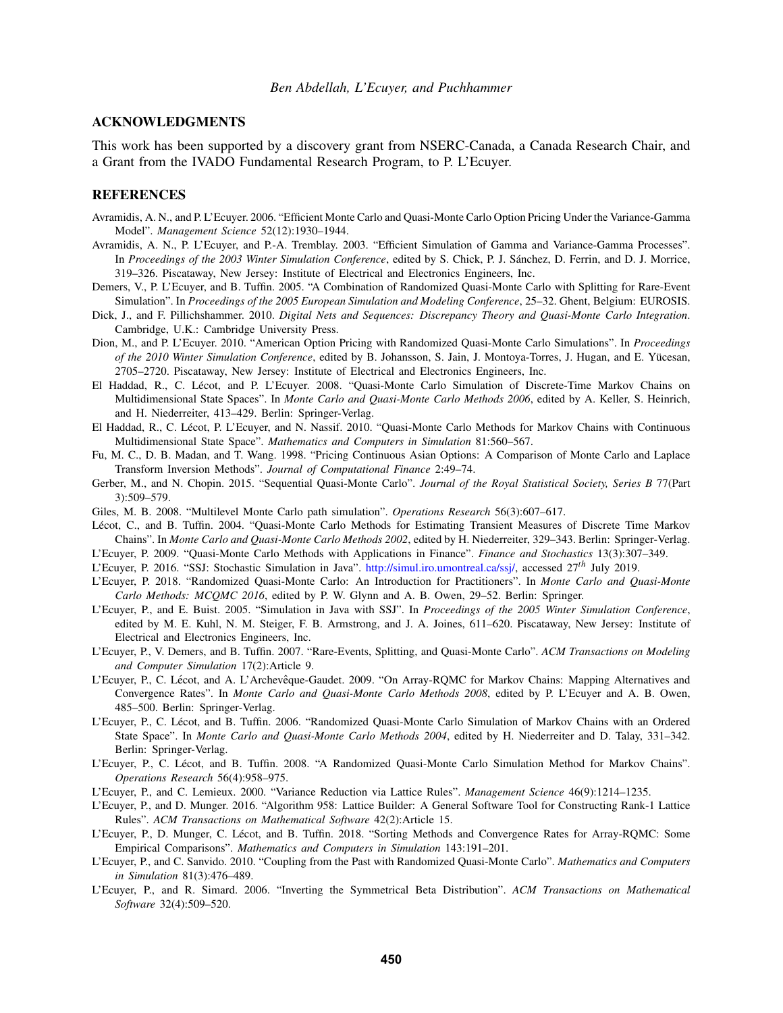## ACKNOWLEDGMENTS

This work has been supported by a discovery grant from NSERC-Canada, a Canada Research Chair, and a Grant from the IVADO Fundamental Research Program, to P. L'Ecuyer.

### REFERENCES

- <span id="page-10-21"></span>Avramidis, A. N., and P. L'Ecuyer. 2006. "Efficient Monte Carlo and Quasi-Monte Carlo Option Pricing Under the Variance-Gamma Model". *Management Science* 52(12):1930–1944.
- <span id="page-10-20"></span>Avramidis, A. N., P. L'Ecuyer, and P.-A. Tremblay. 2003. "Efficient Simulation of Gamma and Variance-Gamma Processes". In *Proceedings of the 2003 Winter Simulation Conference*, edited by S. Chick, P. J. Sanchez, D. Ferrin, and D. J. Morrice, ´ 319–326. Piscataway, New Jersey: Institute of Electrical and Electronics Engineers, Inc.
- <span id="page-10-1"></span>Demers, V., P. L'Ecuyer, and B. Tuffin. 2005. "A Combination of Randomized Quasi-Monte Carlo with Splitting for Rare-Event Simulation". In *Proceedings of the 2005 European Simulation and Modeling Conference*, 25–32. Ghent, Belgium: EUROSIS.
- <span id="page-10-12"></span>Dick, J., and F. Pillichshammer. 2010. *Digital Nets and Sequences: Discrepancy Theory and Quasi-Monte Carlo Integration*. Cambridge, U.K.: Cambridge University Press.
- <span id="page-10-8"></span>Dion, M., and P. L'Ecuyer. 2010. "American Option Pricing with Randomized Quasi-Monte Carlo Simulations". In *Proceedings of the 2010 Winter Simulation Conference*, edited by B. Johansson, S. Jain, J. Montoya-Torres, J. Hugan, and E. Yucesan, ¨ 2705–2720. Piscataway, New Jersey: Institute of Electrical and Electronics Engineers, Inc.
- <span id="page-10-5"></span>El Haddad, R., C. Lecot, and P. L'Ecuyer. 2008. "Quasi-Monte Carlo Simulation of Discrete-Time Markov Chains on ´ Multidimensional State Spaces". In *Monte Carlo and Quasi-Monte Carlo Methods 2006*, edited by A. Keller, S. Heinrich, and H. Niederreiter, 413–429. Berlin: Springer-Verlag.
- <span id="page-10-7"></span>El Haddad, R., C. Lécot, P. L'Ecuyer, and N. Nassif. 2010. "Quasi-Monte Carlo Methods for Markov Chains with Continuous Multidimensional State Space". *Mathematics and Computers in Simulation* 81:560–567.
- <span id="page-10-19"></span>Fu, M. C., D. B. Madan, and T. Wang. 1998. "Pricing Continuous Asian Options: A Comparison of Monte Carlo and Laplace Transform Inversion Methods". *Journal of Computational Finance* 2:49–74.
- <span id="page-10-10"></span>Gerber, M., and N. Chopin. 2015. "Sequential Quasi-Monte Carlo". *Journal of the Royal Statistical Society, Series B* 77(Part 3):509–579.
- <span id="page-10-23"></span>Giles, M. B. 2008. "Multilevel Monte Carlo path simulation". *Operations Research* 56(3):607–617.
- <span id="page-10-0"></span>Lécot, C., and B. Tuffin. 2004. "Quasi-Monte Carlo Methods for Estimating Transient Measures of Discrete Time Markov Chains". In *Monte Carlo and Quasi-Monte Carlo Methods 2002*, edited by H. Niederreiter, 329–343. Berlin: Springer-Verlag.
- <span id="page-10-18"></span><span id="page-10-14"></span>L'Ecuyer, P. 2009. "Quasi-Monte Carlo Methods with Applications in Finance". *Finance and Stochastics* 13(3):307–349.
- L'Ecuyer, P. 2016. "SSJ: Stochastic Simulation in Java". [http://simul.iro.umontreal.ca/ssj/,](http://simul.iro.umontreal.ca/ssj/) accessed 27*th* July 2019.
- <span id="page-10-15"></span>L'Ecuyer, P. 2018. "Randomized Quasi-Monte Carlo: An Introduction for Practitioners". In *Monte Carlo and Quasi-Monte Carlo Methods: MCQMC 2016*, edited by P. W. Glynn and A. B. Owen, 29–52. Berlin: Springer.
- <span id="page-10-17"></span>L'Ecuyer, P., and E. Buist. 2005. "Simulation in Java with SSJ". In *Proceedings of the 2005 Winter Simulation Conference*, edited by M. E. Kuhl, N. M. Steiger, F. B. Armstrong, and J. A. Joines, 611–620. Piscataway, New Jersey: Institute of Electrical and Electronics Engineers, Inc.
- <span id="page-10-3"></span>L'Ecuyer, P., V. Demers, and B. Tuffin. 2007. "Rare-Events, Splitting, and Quasi-Monte Carlo". *ACM Transactions on Modeling and Computer Simulation* 17(2):Article 9.
- <span id="page-10-6"></span>L'Ecuyer, P., C. Lécot, and A. L'Archevêque-Gaudet. 2009. "On Array-RQMC for Markov Chains: Mapping Alternatives and Convergence Rates". In *Monte Carlo and Quasi-Monte Carlo Methods 2008*, edited by P. L'Ecuyer and A. B. Owen, 485–500. Berlin: Springer-Verlag.
- <span id="page-10-2"></span>L'Ecuyer, P., C. Lecot, and B. Tuffin. 2006. "Randomized Quasi-Monte Carlo Simulation of Markov Chains with an Ordered ´ State Space". In *Monte Carlo and Quasi-Monte Carlo Methods 2004*, edited by H. Niederreiter and D. Talay, 331–342. Berlin: Springer-Verlag.
- <span id="page-10-4"></span>L'Ecuyer, P., C. Lecot, and B. Tuffin. 2008. "A Randomized Quasi-Monte Carlo Simulation Method for Markov Chains". ´ *Operations Research* 56(4):958–975.
- <span id="page-10-13"></span>L'Ecuyer, P., and C. Lemieux. 2000. "Variance Reduction via Lattice Rules". *Management Science* 46(9):1214–1235.
- <span id="page-10-16"></span>L'Ecuyer, P., and D. Munger. 2016. "Algorithm 958: Lattice Builder: A General Software Tool for Constructing Rank-1 Lattice Rules". *ACM Transactions on Mathematical Software* 42(2):Article 15.
- <span id="page-10-11"></span>L'Ecuyer, P., D. Munger, C. Lecot, and B. Tuffin. 2018. "Sorting Methods and Convergence Rates for Array-RQMC: Some ´ Empirical Comparisons". *Mathematics and Computers in Simulation* 143:191–201.
- <span id="page-10-9"></span>L'Ecuyer, P., and C. Sanvido. 2010. "Coupling from the Past with Randomized Quasi-Monte Carlo". *Mathematics and Computers in Simulation* 81(3):476–489.
- <span id="page-10-22"></span>L'Ecuyer, P., and R. Simard. 2006. "Inverting the Symmetrical Beta Distribution". *ACM Transactions on Mathematical Software* 32(4):509–520.